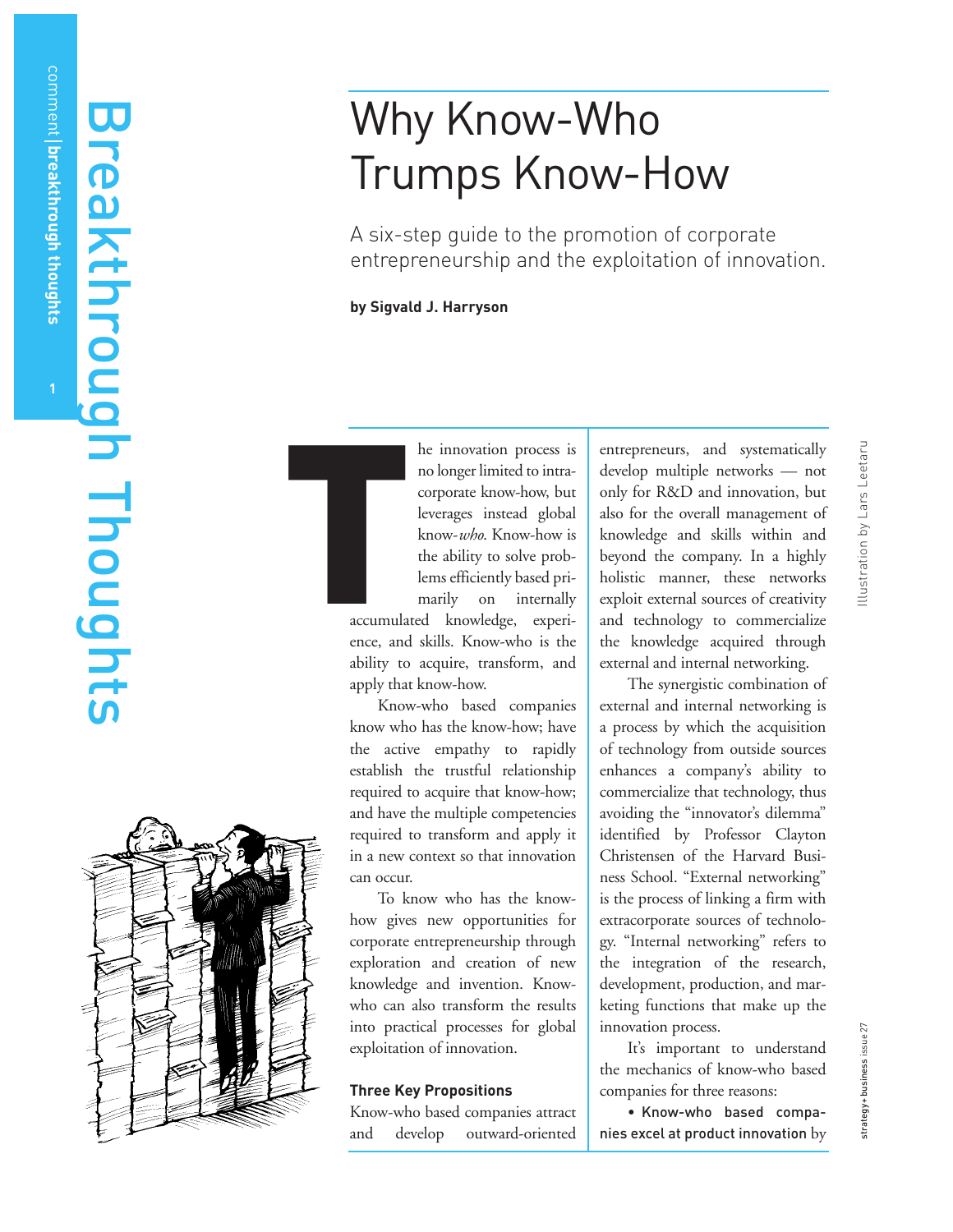comment

**breakthrough thoughts**

# Why Know-Who Trumps Know-How

A six-step guide to the promotion of corporate entrepreneurship and the exploitation of innovation.

**by Sigvald J. Harryson**

he innovation process is no longer limited to intracorporate know-how, but leverages instead global know-*who*. Know-how is the ability to solve problems efficiently based primarily on internally

accumulated knowledge, experience, and skills. Know-who is the ability to acquire, transform, and apply that know-how. T

> Know-who based companies know who has the know-how; have the active empathy to rapidly establish the trustful relationship required to acquire that know-how; and have the multiple competencies required to transform and apply it in a new context so that innovation can occur.

> To know who has the knowhow gives new opportunities for corporate entrepreneurship through exploration and creation of new knowledge and invention. Knowwho can also transform the results into practical processes for global exploitation of innovation.

## **Three Key Propositions**

Know-who based companies attract and develop outward-oriented entrepreneurs, and systematically develop multiple networks — not only for R&D and innovation, but also for the overall management of knowledge and skills within and beyond the company. In a highly holistic manner, these networks exploit external sources of creativity and technology to commercialize the knowledge acquired through external and internal networking.

The synergistic combination of external and internal networking is a process by which the acquisition of technology from outside sources enhances a company's ability to commercialize that technology, thus avoiding the "innovator's dilemma" identified by Professor Clayton Christensen of the Harvard Business School. "External networking" is the process of linking a firm with extracorporate sources of technology. "Internal networking" refers to the integration of the research, development, production, and marketing functions that make up the innovation process.

It's important to understand the mechanics of know-who based companies for three reasons:

• Know-who based companies excel at product innovation by

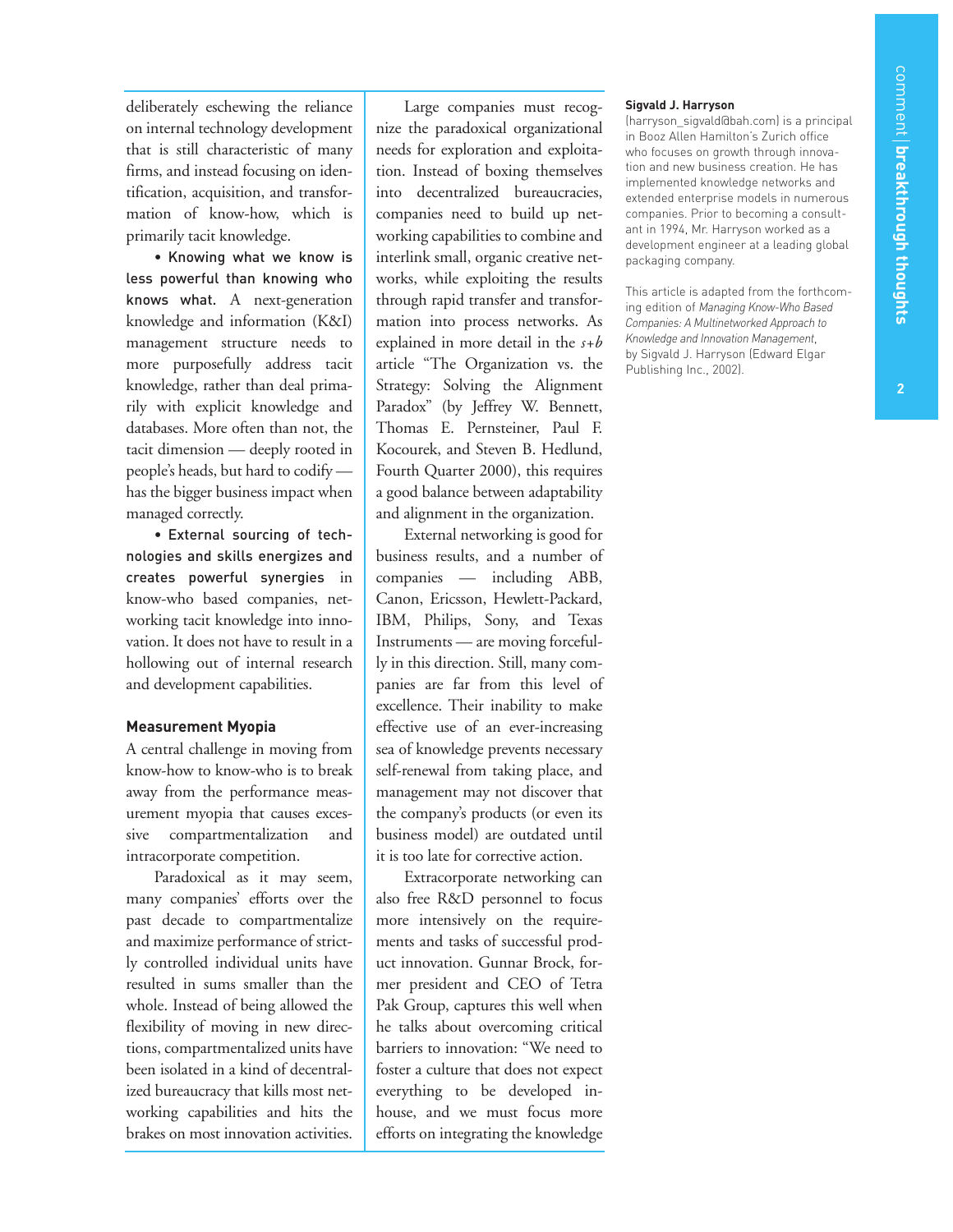deliberately eschewing the reliance on internal technology development that is still characteristic of many firms, and instead focusing on identification, acquisition, and transformation of know-how, which is primarily tacit knowledge.

• Knowing what we know is less powerful than knowing who knows what. A next-generation knowledge and information (K&I) management structure needs to more purposefully address tacit knowledge, rather than deal primarily with explicit knowledge and databases. More often than not, the tacit dimension — deeply rooted in people's heads, but hard to codify has the bigger business impact when managed correctly.

• External sourcing of technologies and skills energizes and creates powerful synergies in know-who based companies, networking tacit knowledge into innovation. It does not have to result in a hollowing out of internal research and development capabilities.

### **Measurement Myopia**

A central challenge in moving from know-how to know-who is to break away from the performance measurement myopia that causes excessive compartmentalization and intracorporate competition.

Paradoxical as it may seem, many companies' efforts over the past decade to compartmentalize and maximize performance of strictly controlled individual units have resulted in sums smaller than the whole. Instead of being allowed the flexibility of moving in new directions, compartmentalized units have been isolated in a kind of decentralized bureaucracy that kills most networking capabilities and hits the brakes on most innovation activities.

Large companies must recognize the paradoxical organizational needs for exploration and exploitation. Instead of boxing themselves into decentralized bureaucracies, companies need to build up networking capabilities to combine and interlink small, organic creative networks, while exploiting the results through rapid transfer and transformation into process networks. As explained in more detail in the *s+b* article "The Organization vs. the Strategy: Solving the Alignment Paradox" (by Jeffrey W. Bennett, Thomas E. Pernsteiner, Paul F. Kocourek, and Steven B. Hedlund, Fourth Quarter 2000), this requires a good balance between adaptability and alignment in the organization.

External networking is good for business results, and a number of companies — including ABB, Canon, Ericsson, Hewlett-Packard, IBM, Philips, Sony, and Texas Instruments — are moving forcefully in this direction. Still, many companies are far from this level of excellence. Their inability to make effective use of an ever-increasing sea of knowledge prevents necessary self-renewal from taking place, and management may not discover that the company's products (or even its business model) are outdated until it is too late for corrective action.

Extracorporate networking can also free R&D personnel to focus more intensively on the requirements and tasks of successful product innovation. Gunnar Brock, former president and CEO of Tetra Pak Group, captures this well when he talks about overcoming critical barriers to innovation: "We need to foster a culture that does not expect everything to be developed inhouse, and we must focus more efforts on integrating the knowledge

#### **Sigvald J. Harryson**

(harryson\_sigvald@bah.com) is a principal in Booz Allen Hamilton's Zurich office who focuses on growth through innovation and new business creation. He has implemented knowledge networks and extended enterprise models in numerous companies. Prior to becoming a consultant in 1994, Mr. Harryson worked as a development engineer at a leading global packaging company.

This article is adapted from the forthcoming edition of *Managing Know-Who Based Companies: A Multinetworked Approach to Knowledge and Innovation Management*, by Sigvald J. Harryson (Edward Elgar Publishing Inc., 2002).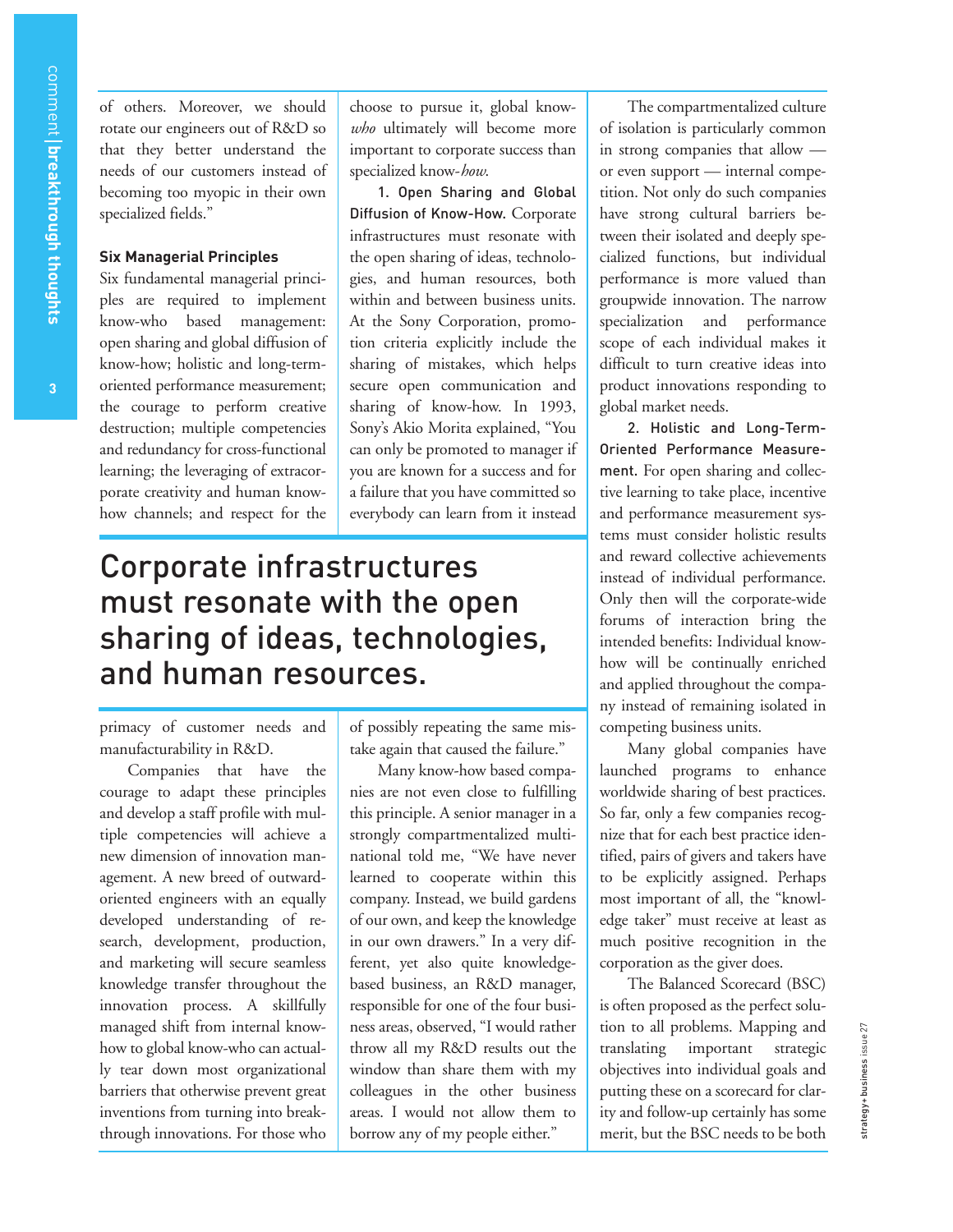of others. Moreover, we should rotate our engineers out of R&D so that they better understand the needs of our customers instead of becoming too myopic in their own specialized fields."

### **Six Managerial Principles**

Six fundamental managerial principles are required to implement know-who based management: open sharing and global diffusion of know-how; holistic and long-termoriented performance measurement; the courage to perform creative destruction; multiple competencies and redundancy for cross-functional learning; the leveraging of extracorporate creativity and human knowhow channels; and respect for the

choose to pursue it, global know*who* ultimately will become more important to corporate success than specialized know-*how*.

1. Open Sharing and Global Diffusion of Know-How. Corporate infrastructures must resonate with the open sharing of ideas, technologies, and human resources, both within and between business units. At the Sony Corporation, promotion criteria explicitly include the sharing of mistakes, which helps secure open communication and sharing of know-how. In 1993, Sony's Akio Morita explained, "You can only be promoted to manager if you are known for a success and for a failure that you have committed so everybody can learn from it instead

# Corporate infrastructures must resonate with the open sharing of ideas, technologies, and human resources.

primacy of customer needs and manufacturability in R&D.

Companies that have the courage to adapt these principles and develop a staff profile with multiple competencies will achieve a new dimension of innovation management. A new breed of outwardoriented engineers with an equally developed understanding of research, development, production, and marketing will secure seamless knowledge transfer throughout the innovation process. A skillfully managed shift from internal knowhow to global know-who can actually tear down most organizational barriers that otherwise prevent great inventions from turning into breakthrough innovations. For those who

of possibly repeating the same mistake again that caused the failure."

Many know-how based companies are not even close to fulfilling this principle. A senior manager in a strongly compartmentalized multinational told me, "We have never learned to cooperate within this company. Instead, we build gardens of our own, and keep the knowledge in our own drawers." In a very different, yet also quite knowledgebased business, an R&D manager, responsible for one of the four business areas, observed, "I would rather throw all my R&D results out the window than share them with my colleagues in the other business areas. I would not allow them to borrow any of my people either."

The compartmentalized culture of isolation is particularly common in strong companies that allow or even support — internal competition. Not only do such companies have strong cultural barriers between their isolated and deeply specialized functions, but individual performance is more valued than groupwide innovation. The narrow specialization and performance scope of each individual makes it difficult to turn creative ideas into product innovations responding to global market needs.

2. Holistic and Long-Term-Oriented Performance Measurement. For open sharing and collective learning to take place, incentive and performance measurement systems must consider holistic results and reward collective achievements instead of individual performance. Only then will the corporate-wide forums of interaction bring the intended benefits: Individual knowhow will be continually enriched and applied throughout the company instead of remaining isolated in competing business units.

Many global companies have launched programs to enhance worldwide sharing of best practices. So far, only a few companies recognize that for each best practice identified, pairs of givers and takers have to be explicitly assigned. Perhaps most important of all, the "knowledge taker" must receive at least as much positive recognition in the corporation as the giver does.

The Balanced Scorecard (BSC) is often proposed as the perfect solution to all problems. Mapping and translating important strategic objectives into individual goals and putting these on a scorecard for clarity and follow-up certainly has some merit, but the BSC needs to be both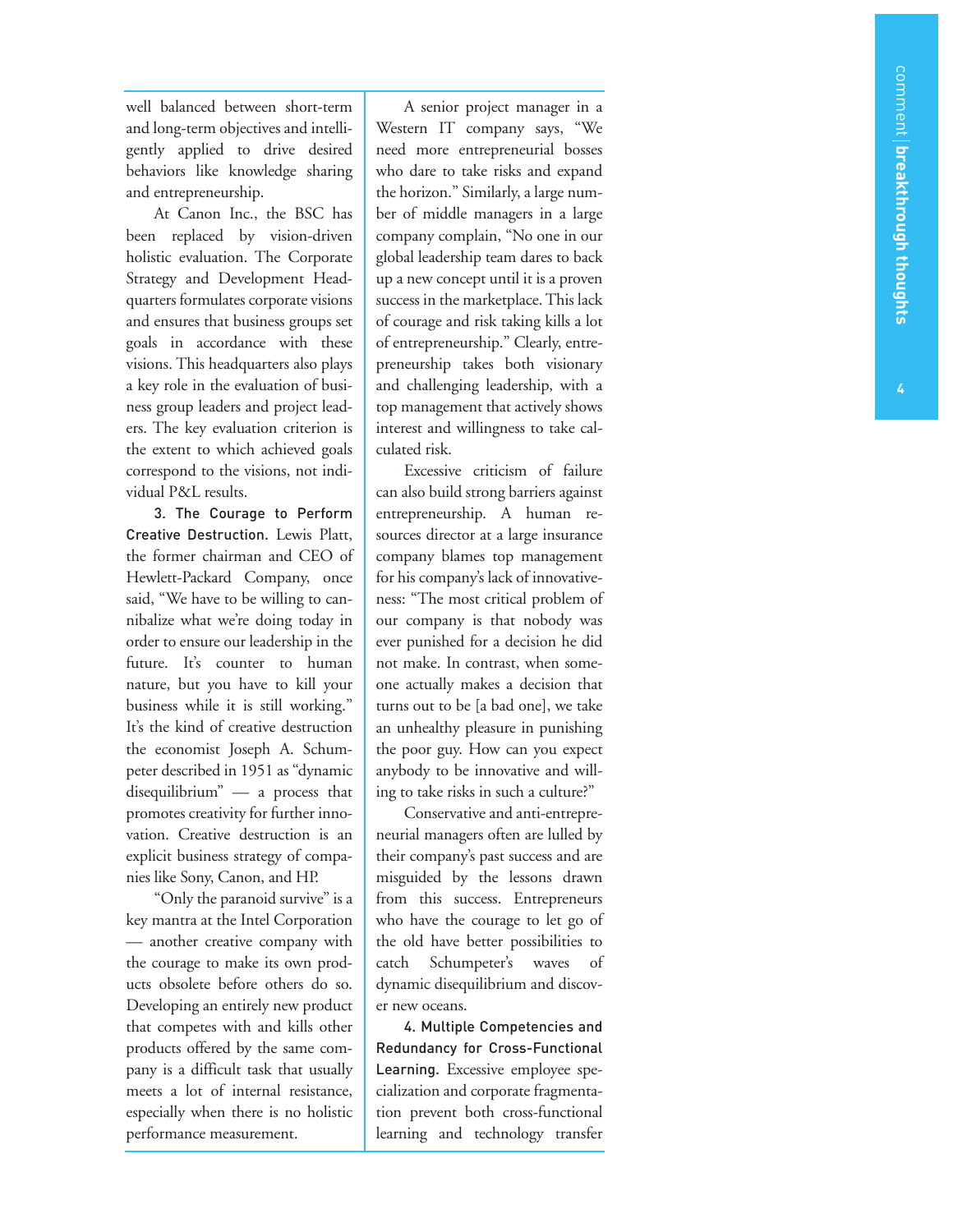well balanced between short-term and long-term objectives and intelligently applied to drive desired behaviors like knowledge sharing and entrepreneurship.

At Canon Inc., the BSC has been replaced by vision-driven holistic evaluation. The Corporate Strategy and Development Headquarters formulates corporate visions and ensures that business groups set goals in accordance with these visions. This headquarters also plays a key role in the evaluation of business group leaders and project leaders. The key evaluation criterion is the extent to which achieved goals correspond to the visions, not individual P&L results.

3. The Courage to Perform Creative Destruction. Lewis Platt, the former chairman and CEO of Hewlett-Packard Company, once said, "We have to be willing to cannibalize what we're doing today in order to ensure our leadership in the future. It's counter to human nature, but you have to kill your business while it is still working." It's the kind of creative destruction the economist Joseph A. Schumpeter described in 1951 as "dynamic disequilibrium" — a process that promotes creativity for further innovation. Creative destruction is an explicit business strategy of companies like Sony, Canon, and HP.

"Only the paranoid survive" is a key mantra at the Intel Corporation — another creative company with the courage to make its own products obsolete before others do so. Developing an entirely new product that competes with and kills other products offered by the same company is a difficult task that usually meets a lot of internal resistance, especially when there is no holistic performance measurement.

A senior project manager in a Western IT company says, "We need more entrepreneurial bosses who dare to take risks and expand the horizon." Similarly, a large number of middle managers in a large company complain, "No one in our global leadership team dares to back up a new concept until it is a proven success in the marketplace. This lack of courage and risk taking kills a lot of entrepreneurship." Clearly, entrepreneurship takes both visionary and challenging leadership, with a top management that actively shows interest and willingness to take calculated risk.

Excessive criticism of failure can also build strong barriers against entrepreneurship. A human resources director at a large insurance company blames top management for his company's lack of innovativeness: "The most critical problem of our company is that nobody was ever punished for a decision he did not make. In contrast, when someone actually makes a decision that turns out to be [a bad one], we take an unhealthy pleasure in punishing the poor guy. How can you expect anybody to be innovative and willing to take risks in such a culture?"

Conservative and anti-entrepreneurial managers often are lulled by their company's past success and are misguided by the lessons drawn from this success. Entrepreneurs who have the courage to let go of the old have better possibilities to catch Schumpeter's waves of dynamic disequilibrium and discover new oceans.

4. Multiple Competencies and Redundancy for Cross-Functional Learning. Excessive employee specialization and corporate fragmentation prevent both cross-functional learning and technology transfer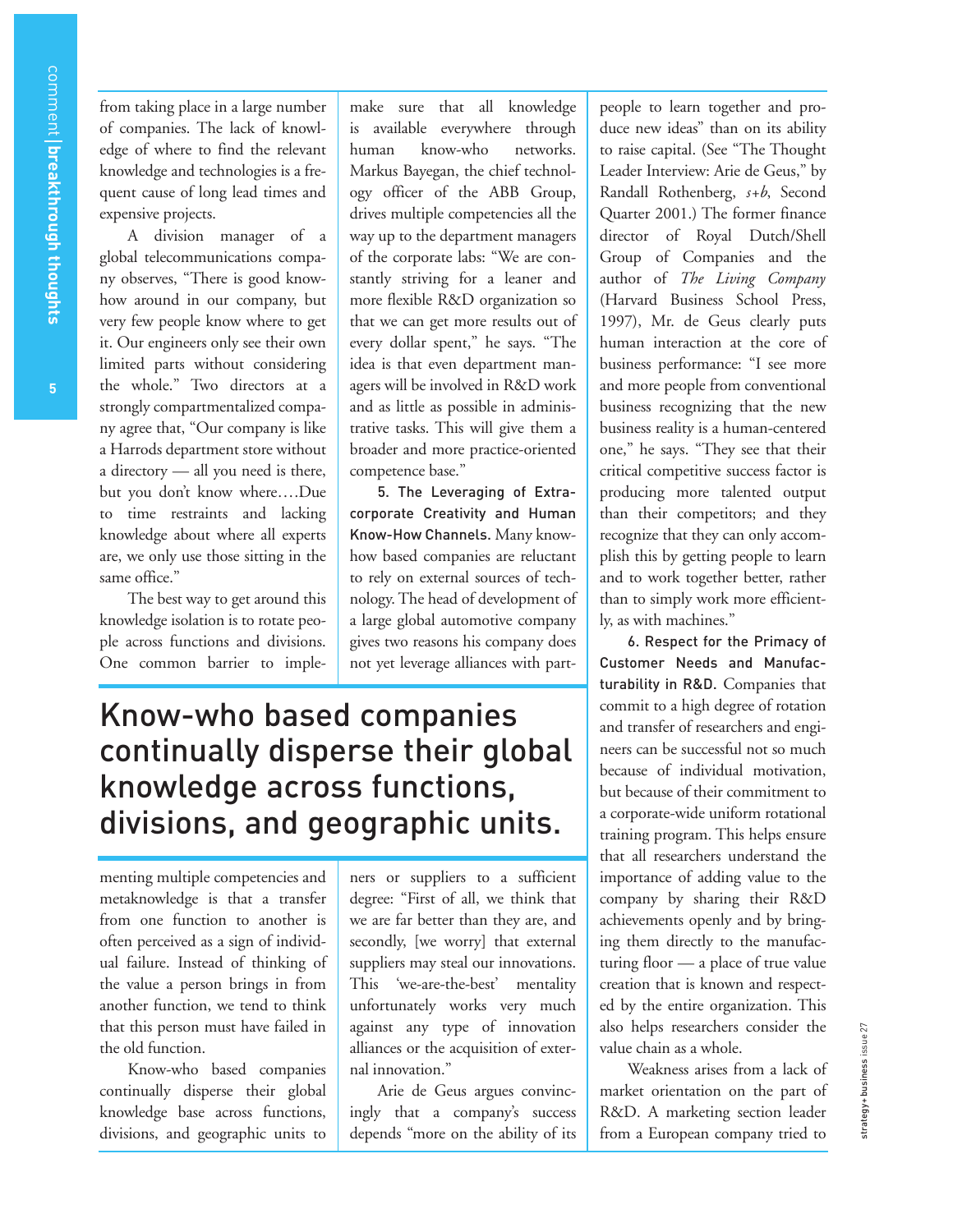from taking place in a large number of companies. The lack of knowledge of where to find the relevant knowledge and technologies is a frequent cause of long lead times and expensive projects.

A division manager of a global telecommunications company observes, "There is good knowhow around in our company, but very few people know where to get it. Our engineers only see their own limited parts without considering the whole." Two directors at a strongly compartmentalized company agree that, "Our company is like a Harrods department store without a directory — all you need is there, but you don't know where….Due to time restraints and lacking knowledge about where all experts are, we only use those sitting in the same office."

The best way to get around this knowledge isolation is to rotate people across functions and divisions. One common barrier to imple-

make sure that all knowledge is available everywhere through human know-who networks. Markus Bayegan, the chief technology officer of the ABB Group, drives multiple competencies all the way up to the department managers of the corporate labs: "We are constantly striving for a leaner and more flexible R&D organization so that we can get more results out of every dollar spent," he says. "The idea is that even department managers will be involved in R&D work and as little as possible in administrative tasks. This will give them a broader and more practice-oriented competence base."

5. The Leveraging of Extracorporate Creativity and Human Know-How Channels. Many knowhow based companies are reluctant to rely on external sources of technology. The head of development of a large global automotive company gives two reasons his company does not yet leverage alliances with part-

# Know-who based companies continually disperse their global knowledge across functions, divisions, and geographic units.

menting multiple competencies and metaknowledge is that a transfer from one function to another is often perceived as a sign of individual failure. Instead of thinking of the value a person brings in from another function, we tend to think that this person must have failed in the old function.

Know-who based companies continually disperse their global knowledge base across functions, divisions, and geographic units to

ners or suppliers to a sufficient degree: "First of all, we think that we are far better than they are, and secondly, [we worry] that external suppliers may steal our innovations. This 'we-are-the-best' mentality unfortunately works very much against any type of innovation alliances or the acquisition of external innovation."

Arie de Geus argues convincingly that a company's success depends "more on the ability of its people to learn together and produce new ideas" than on its ability to raise capital. (See "The Thought Leader Interview: Arie de Geus," by Randall Rothenberg, *s+b*, Second Quarter 2001.) The former finance director of Royal Dutch/Shell Group of Companies and the author of *The Living Company* (Harvard Business School Press, 1997), Mr. de Geus clearly puts human interaction at the core of business performance: "I see more and more people from conventional business recognizing that the new business reality is a human-centered one," he says. "They see that their critical competitive success factor is producing more talented output than their competitors; and they recognize that they can only accomplish this by getting people to learn and to work together better, rather than to simply work more efficiently, as with machines."

6. Respect for the Primacy of Customer Needs and Manufacturability in R&D. Companies that commit to a high degree of rotation and transfer of researchers and engineers can be successful not so much because of individual motivation, but because of their commitment to a corporate-wide uniform rotational training program. This helps ensure that all researchers understand the importance of adding value to the company by sharing their R&D achievements openly and by bringing them directly to the manufacturing floor — a place of true value creation that is known and respected by the entire organization. This also helps researchers consider the value chain as a whole.

Weakness arises from a lack of market orientation on the part of R&D. A marketing section leader from a European company tried to